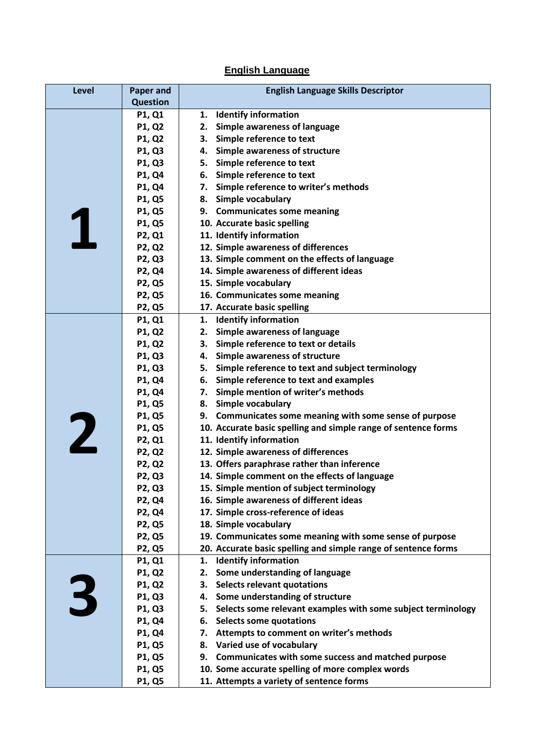## **English Language**

| Level | <b>Paper and</b> | <b>English Language Skills Descriptor</b>                                |
|-------|------------------|--------------------------------------------------------------------------|
|       | <b>Question</b>  |                                                                          |
|       | P1, Q1           | <b>Identify information</b><br>1.                                        |
|       | P1, Q2           | Simple awareness of language<br>2.                                       |
|       | P1, Q2           | 3. Simple reference to text                                              |
|       | P1, Q3           | 4. Simple awareness of structure                                         |
|       | P1, Q3           | 5. Simple reference to text                                              |
|       | P1, Q4           | 6. Simple reference to text                                              |
|       | P1, Q4           | 7. Simple reference to writer's methods                                  |
|       | P1, Q5           | 8. Simple vocabulary                                                     |
|       | P1, Q5           | 9. Communicates some meaning                                             |
|       | P1, Q5           | 10. Accurate basic spelling                                              |
|       | P2, Q1           | 11. Identify information                                                 |
|       | <b>P2, Q2</b>    | 12. Simple awareness of differences                                      |
|       | P2, Q3           | 13. Simple comment on the effects of language                            |
|       | P2, Q4           | 14. Simple awareness of different ideas                                  |
|       | <b>P2, Q5</b>    | 15. Simple vocabulary                                                    |
|       | <b>P2, Q5</b>    | 16. Communicates some meaning                                            |
|       | <b>P2, Q5</b>    | 17. Accurate basic spelling                                              |
|       | P1, Q1           | 1. Identify information                                                  |
|       | P1, Q2           | 2. Simple awareness of language                                          |
|       | P1, Q2           | 3. Simple reference to text or details                                   |
|       | P1, Q3           | 4. Simple awareness of structure                                         |
|       | P1, Q3           | 5. Simple reference to text and subject terminology                      |
|       | P1, Q4           | 6. Simple reference to text and examples                                 |
|       | P1, Q4           | 7. Simple mention of writer's methods                                    |
|       | P1, Q5           | 8. Simple vocabulary                                                     |
|       | <b>P1, Q5</b>    | 9. Communicates some meaning with some sense of purpose                  |
|       | P1, Q5           | 10. Accurate basic spelling and simple range of sentence forms           |
| 2     | P2, Q1           | 11. Identify information                                                 |
|       | <b>P2, Q2</b>    | 12. Simple awareness of differences                                      |
|       | <b>P2, Q2</b>    | 13. Offers paraphrase rather than inference                              |
|       | P2, Q3           | 14. Simple comment on the effects of language                            |
|       | <b>P2, Q3</b>    | 15. Simple mention of subject terminology                                |
|       | P2, Q4           | 16. Simple awareness of different ideas                                  |
|       | P2, Q4           | 17. Simple cross-reference of ideas                                      |
|       | <b>P2, Q5</b>    | 18. Simple vocabulary                                                    |
|       | <b>P2, Q5</b>    | 19. Communicates some meaning with some sense of purpose                 |
|       | <b>P2, Q5</b>    | 20. Accurate basic spelling and simple range of sentence forms           |
|       | P1, Q1           | <b>Identify information</b><br>1.                                        |
|       | P1, Q2           | Some understanding of language<br>2.                                     |
|       | P1, Q2           | 3. Selects relevant quotations                                           |
| 3     | P1, Q3           | 4. Some understanding of structure                                       |
|       | P1, Q3           | 5. Selects some relevant examples with some subject terminology          |
|       | P1, Q4<br>P1, Q4 | 6. Selects some quotations<br>7. Attempts to comment on writer's methods |
|       | P1, Q5           | 8. Varied use of vocabulary                                              |
|       | P1, Q5           | Communicates with some success and matched purpose<br>9.                 |
|       | P1, Q5           | 10. Some accurate spelling of more complex words                         |
|       | P1, Q5           | 11. Attempts a variety of sentence forms                                 |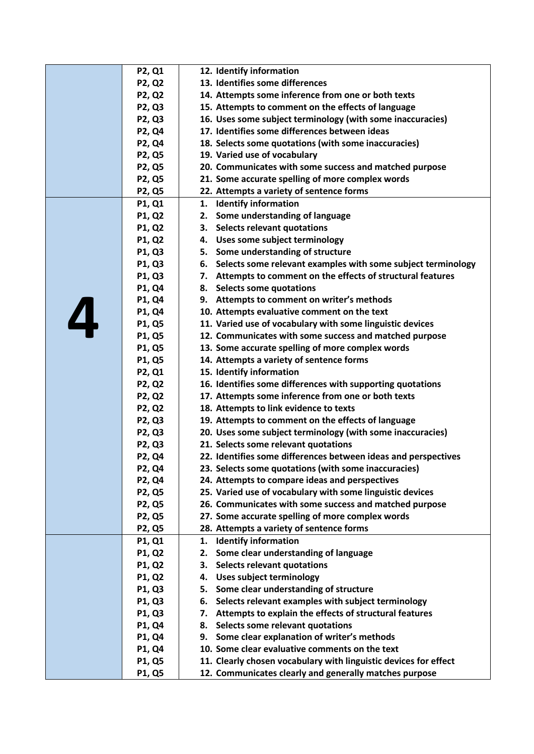|   | P2, Q1        | 12. Identify information                                         |
|---|---------------|------------------------------------------------------------------|
|   | <b>P2, Q2</b> | 13. Identifies some differences                                  |
|   | <b>P2, Q2</b> | 14. Attempts some inference from one or both texts               |
|   | <b>P2, Q3</b> | 15. Attempts to comment on the effects of language               |
|   | <b>P2, Q3</b> | 16. Uses some subject terminology (with some inaccuracies)       |
|   | P2, Q4        | 17. Identifies some differences between ideas                    |
|   | P2, Q4        | 18. Selects some quotations (with some inaccuracies)             |
|   | P2, Q5        | 19. Varied use of vocabulary                                     |
|   | <b>P2, Q5</b> | 20. Communicates with some success and matched purpose           |
|   | <b>P2, Q5</b> | 21. Some accurate spelling of more complex words                 |
|   | P2, Q5        | 22. Attempts a variety of sentence forms                         |
|   | P1, Q1        | <b>Identify information</b><br>1.                                |
|   | P1, Q2        | Some understanding of language<br>2.                             |
|   | P1, Q2        | <b>Selects relevant quotations</b><br>3.                         |
|   | P1, Q2        | 4. Uses some subject terminology                                 |
|   | P1, Q3        | 5. Some understanding of structure                               |
|   | P1, Q3        | 6. Selects some relevant examples with some subject terminology  |
|   | P1, Q3        | 7. Attempts to comment on the effects of structural features     |
|   | P1, Q4        | 8. Selects some quotations                                       |
|   | P1, Q4        | 9. Attempts to comment on writer's methods                       |
| 4 | P1, Q4        | 10. Attempts evaluative comment on the text                      |
|   | P1, Q5        | 11. Varied use of vocabulary with some linguistic devices        |
|   | P1, Q5        | 12. Communicates with some success and matched purpose           |
|   | P1, Q5        | 13. Some accurate spelling of more complex words                 |
|   | P1, Q5        | 14. Attempts a variety of sentence forms                         |
|   | <b>P2, Q1</b> | 15. Identify information                                         |
|   | <b>P2, Q2</b> | 16. Identifies some differences with supporting quotations       |
|   | <b>P2, Q2</b> | 17. Attempts some inference from one or both texts               |
|   | <b>P2, Q2</b> | 18. Attempts to link evidence to texts                           |
|   | <b>P2, Q3</b> | 19. Attempts to comment on the effects of language               |
|   | P2, Q3        | 20. Uses some subject terminology (with some inaccuracies)       |
|   | <b>P2, Q3</b> | 21. Selects some relevant quotations                             |
|   | P2, Q4        | 22. Identifies some differences between ideas and perspectives   |
|   | <b>P2, Q4</b> | 23. Selects some quotations (with some inaccuracies)             |
|   | <b>P2, Q4</b> | 24. Attempts to compare ideas and perspectives                   |
|   | P2, Q5        | 25. Varied use of vocabulary with some linguistic devices        |
|   | <b>P2, Q5</b> | 26. Communicates with some success and matched purpose           |
|   | <b>P2, Q5</b> | 27. Some accurate spelling of more complex words                 |
|   | <b>P2, Q5</b> | 28. Attempts a variety of sentence forms                         |
|   | P1, Q1        | <b>Identify information</b><br>1.                                |
|   | P1, Q2        | Some clear understanding of language<br>2.                       |
|   | P1, Q2        | <b>Selects relevant quotations</b><br>3.                         |
|   | P1, Q2        | <b>Uses subject terminology</b><br>4.                            |
|   | P1, Q3        | Some clear understanding of structure<br>5.                      |
|   | P1, Q3        | Selects relevant examples with subject terminology<br>6.         |
|   | P1, Q3        | Attempts to explain the effects of structural features<br>7.     |
|   | P1, Q4        | Selects some relevant quotations<br>8.                           |
|   | P1, Q4        | 9. Some clear explanation of writer's methods                    |
|   | P1, Q4        | 10. Some clear evaluative comments on the text                   |
|   | P1, Q5        | 11. Clearly chosen vocabulary with linguistic devices for effect |
|   | P1, Q5        | 12. Communicates clearly and generally matches purpose           |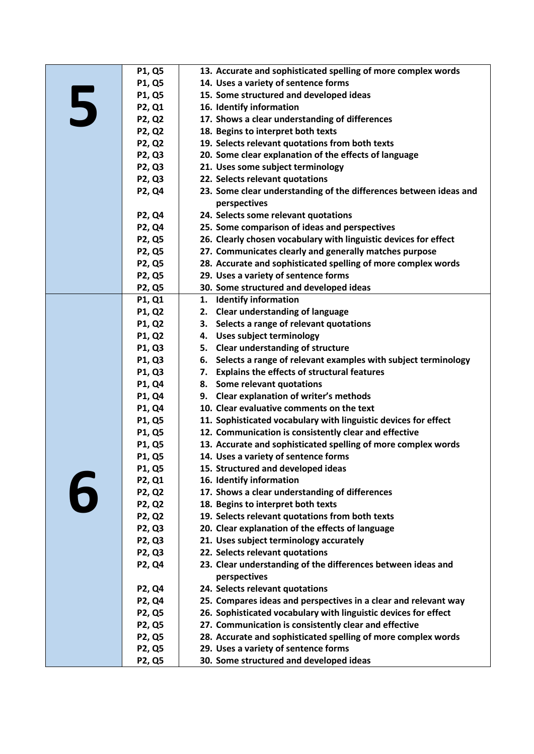| 13. Accurate and sophisticated spelling of more complex words<br><b>P1, Q5</b>   |  |
|----------------------------------------------------------------------------------|--|
|                                                                                  |  |
| P1, Q5<br>14. Uses a variety of sentence forms                                   |  |
| P1, Q5<br>15. Some structured and developed ideas                                |  |
| 5<br>P2, Q1<br>16. Identify information                                          |  |
| <b>P2, Q2</b><br>17. Shows a clear understanding of differences                  |  |
| P2, Q2<br>18. Begins to interpret both texts                                     |  |
| P2, Q2<br>19. Selects relevant quotations from both texts                        |  |
| P2, Q3<br>20. Some clear explanation of the effects of language                  |  |
| <b>P2, Q3</b><br>21. Uses some subject terminology                               |  |
| 22. Selects relevant quotations<br><b>P2, Q3</b>                                 |  |
| P2, Q4<br>23. Some clear understanding of the differences between ideas and      |  |
| perspectives                                                                     |  |
| 24. Selects some relevant quotations<br><b>P2, Q4</b>                            |  |
| 25. Some comparison of ideas and perspectives<br>P2, Q4                          |  |
| P2, Q5<br>26. Clearly chosen vocabulary with linguistic devices for effect       |  |
| 27. Communicates clearly and generally matches purpose<br><b>P2, Q5</b>          |  |
| P2, Q5<br>28. Accurate and sophisticated spelling of more complex words          |  |
| 29. Uses a variety of sentence forms<br><b>P2, Q5</b>                            |  |
| P2, Q5<br>30. Some structured and developed ideas                                |  |
| <b>Identify information</b><br>P1, Q1<br>1.                                      |  |
| <b>Clear understanding of language</b><br>P1, Q2<br>2.                           |  |
| P1, Q2<br>3. Selects a range of relevant quotations                              |  |
| 4. Uses subject terminology<br>P1, Q2                                            |  |
| 5. Clear understanding of structure<br>P1, Q3                                    |  |
| P1, Q3<br>6.<br>Selects a range of relevant examples with subject terminology    |  |
| 7. Explains the effects of structural features<br>P1, Q3                         |  |
| 8. Some relevant quotations<br>P1, Q4                                            |  |
| 9. Clear explanation of writer's methods<br>P1, Q4                               |  |
| 10. Clear evaluative comments on the text<br>P1, Q4                              |  |
| P1, Q5<br>11. Sophisticated vocabulary with linguistic devices for effect        |  |
| 12. Communication is consistently clear and effective<br>P1, Q5                  |  |
| 13. Accurate and sophisticated spelling of more complex words<br>P1, Q5          |  |
| 14. Uses a variety of sentence forms<br>P1, Q5                                   |  |
| 15. Structured and developed ideas<br>P1, Q5                                     |  |
| P2, Q1<br>16. Identify information                                               |  |
| P2, Q2<br>17. Shows a clear understanding of differences                         |  |
| 6<br><b>P2, Q2</b><br>18. Begins to interpret both texts                         |  |
| 19. Selects relevant quotations from both texts<br><b>P2, Q2</b>                 |  |
| 20. Clear explanation of the effects of language<br><b>P2, Q3</b>                |  |
| 21. Uses subject terminology accurately<br>P2, Q3                                |  |
| <b>P2, Q3</b><br>22. Selects relevant quotations                                 |  |
| P2, Q4<br>23. Clear understanding of the differences between ideas and           |  |
| perspectives                                                                     |  |
| 24. Selects relevant quotations<br><b>P2, Q4</b>                                 |  |
| 25. Compares ideas and perspectives in a clear and relevant way<br>P2, Q4        |  |
| 26. Sophisticated vocabulary with linguistic devices for effect<br><b>P2, Q5</b> |  |
| 27. Communication is consistently clear and effective<br><b>P2, Q5</b>           |  |
| <b>P2, Q5</b><br>28. Accurate and sophisticated spelling of more complex words   |  |
| 29. Uses a variety of sentence forms<br><b>P2, Q5</b>                            |  |
| 30. Some structured and developed ideas<br><b>P2, Q5</b>                         |  |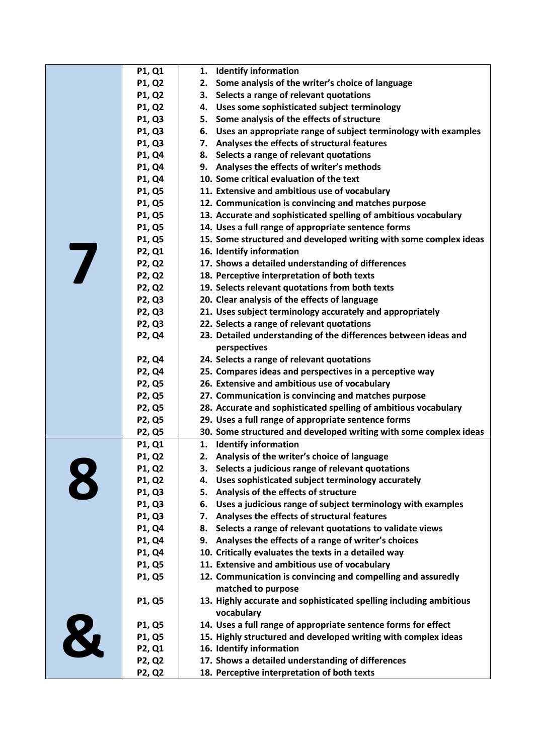|   | P1, Q1        | 1.<br><b>Identify information</b>                                  |
|---|---------------|--------------------------------------------------------------------|
|   | P1, Q2        | Some analysis of the writer's choice of language<br>2.             |
|   | P1, Q2        | Selects a range of relevant quotations<br>3.                       |
|   | P1, Q2        | 4. Uses some sophisticated subject terminology                     |
|   | P1, Q3        | Some analysis of the effects of structure<br>5.                    |
|   | P1, Q3        | 6. Uses an appropriate range of subject terminology with examples  |
|   | P1, Q3        | 7. Analyses the effects of structural features                     |
|   | P1, Q4        | 8. Selects a range of relevant quotations                          |
|   | P1, Q4        | Analyses the effects of writer's methods<br>9.                     |
|   | P1, Q4        | 10. Some critical evaluation of the text                           |
|   | P1, Q5        | 11. Extensive and ambitious use of vocabulary                      |
|   | P1, Q5        | 12. Communication is convincing and matches purpose                |
|   | P1, Q5        | 13. Accurate and sophisticated spelling of ambitious vocabulary    |
|   | P1, Q5        | 14. Uses a full range of appropriate sentence forms                |
|   | P1, Q5        | 15. Some structured and developed writing with some complex ideas  |
|   | P2, Q1        | 16. Identify information                                           |
| 7 | P2, Q2        | 17. Shows a detailed understanding of differences                  |
|   | P2, Q2        | 18. Perceptive interpretation of both texts                        |
|   | <b>P2, Q2</b> | 19. Selects relevant quotations from both texts                    |
|   | P2, Q3        | 20. Clear analysis of the effects of language                      |
|   | P2, Q3        | 21. Uses subject terminology accurately and appropriately          |
|   | P2, Q3        | 22. Selects a range of relevant quotations                         |
|   | P2, Q4        | 23. Detailed understanding of the differences between ideas and    |
|   |               | perspectives                                                       |
|   | P2, Q4        | 24. Selects a range of relevant quotations                         |
|   | P2, Q4        | 25. Compares ideas and perspectives in a perceptive way            |
|   | P2, Q5        | 26. Extensive and ambitious use of vocabulary                      |
|   | P2, Q5        | 27. Communication is convincing and matches purpose                |
|   | P2, Q5        | 28. Accurate and sophisticated spelling of ambitious vocabulary    |
|   | P2, Q5        | 29. Uses a full range of appropriate sentence forms                |
|   | P2, Q5        | 30. Some structured and developed writing with some complex ideas  |
|   | P1, Q1        | <b>Identify information</b><br>1.                                  |
|   | P1, Q2        | Analysis of the writer's choice of language<br>2.                  |
|   | P1, Q2        | З.<br>Selects a judicious range of relevant quotations             |
| 8 | P1, Q2        | Uses sophisticated subject terminology accurately<br>4.            |
|   | P1, Q3        | Analysis of the effects of structure<br>5.                         |
|   | P1, Q3        | Uses a judicious range of subject terminology with examples<br>6.  |
|   | P1, Q3        | Analyses the effects of structural features<br>7.                  |
|   | P1, Q4        | Selects a range of relevant quotations to validate views<br>8.     |
|   | P1, Q4        | 9. Analyses the effects of a range of writer's choices             |
|   | P1, Q4        | 10. Critically evaluates the texts in a detailed way               |
|   | P1, Q5        | 11. Extensive and ambitious use of vocabulary                      |
|   | P1, Q5        | 12. Communication is convincing and compelling and assuredly       |
|   |               | matched to purpose                                                 |
|   | P1, Q5        | 13. Highly accurate and sophisticated spelling including ambitious |
|   |               | vocabulary                                                         |
|   | P1, Q5        | 14. Uses a full range of appropriate sentence forms for effect     |
|   | P1, Q5        | 15. Highly structured and developed writing with complex ideas     |
|   | P2, Q1        | 16. Identify information                                           |
|   | <b>P2, Q2</b> | 17. Shows a detailed understanding of differences                  |
|   | <b>P2, Q2</b> | 18. Perceptive interpretation of both texts                        |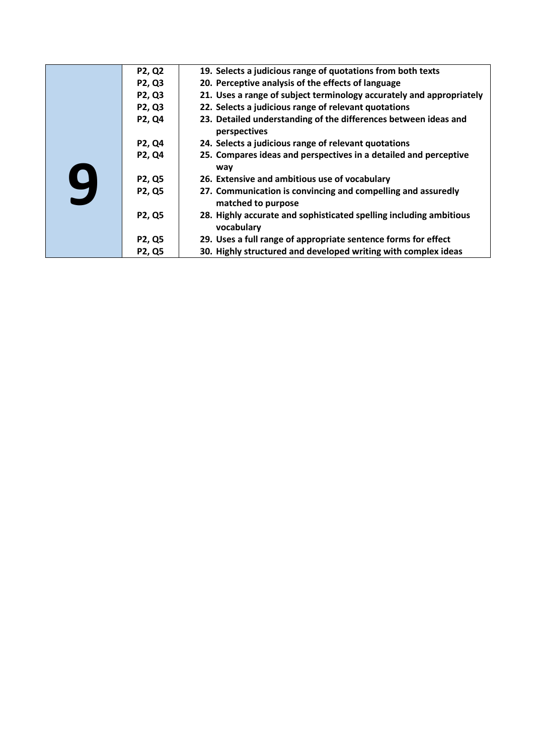|              | <b>P2, Q2</b> | 19. Selects a judicious range of quotations from both texts                        |
|--------------|---------------|------------------------------------------------------------------------------------|
|              | P2, Q3        | 20. Perceptive analysis of the effects of language                                 |
|              | P2, Q3        | 21. Uses a range of subject terminology accurately and appropriately               |
|              | P2, Q3        | 22. Selects a judicious range of relevant quotations                               |
|              | P2, Q4        | 23. Detailed understanding of the differences between ideas and<br>perspectives    |
|              | P2, Q4        | 24. Selects a judicious range of relevant quotations                               |
|              | P2, Q4        | 25. Compares ideas and perspectives in a detailed and perceptive<br>way            |
|              | <b>P2, Q5</b> | 26. Extensive and ambitious use of vocabulary                                      |
| $\mathbf{Q}$ | P2, Q5        | 27. Communication is convincing and compelling and assuredly<br>matched to purpose |
|              | <b>P2, Q5</b> | 28. Highly accurate and sophisticated spelling including ambitious<br>vocabulary   |
|              | <b>P2, Q5</b> | 29. Uses a full range of appropriate sentence forms for effect                     |
|              | <b>P2, Q5</b> | 30. Highly structured and developed writing with complex ideas                     |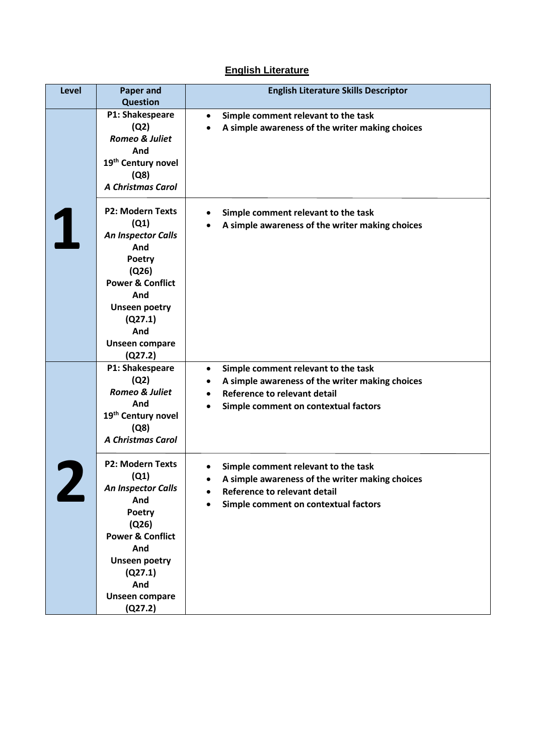## **English Literature**

| Level | <b>Paper and</b><br><b>Question</b>                                                                                                                                                                               | <b>English Literature Skills Descriptor</b>                                                                                                                                                     |
|-------|-------------------------------------------------------------------------------------------------------------------------------------------------------------------------------------------------------------------|-------------------------------------------------------------------------------------------------------------------------------------------------------------------------------------------------|
|       | P1: Shakespeare<br>(Q2)<br><b>Romeo &amp; Juliet</b><br>And<br>19 <sup>th</sup> Century novel<br>(Q8)<br><b>A Christmas Carol</b>                                                                                 | Simple comment relevant to the task<br>$\bullet$<br>A simple awareness of the writer making choices                                                                                             |
|       | <b>P2: Modern Texts</b><br>(Q1)<br><b>An Inspector Calls</b><br>And<br><b>Poetry</b><br>(Q26)<br><b>Power &amp; Conflict</b><br>And<br><b>Unseen poetry</b><br>(Q27.1)<br>And<br><b>Unseen compare</b><br>(Q27.2) | Simple comment relevant to the task<br>A simple awareness of the writer making choices                                                                                                          |
|       | P1: Shakespeare<br>(Q2)<br>Romeo & Juliet<br>And<br>19 <sup>th</sup> Century novel<br>(Q8)<br><b>A Christmas Carol</b>                                                                                            | Simple comment relevant to the task<br>$\bullet$<br>A simple awareness of the writer making choices<br>$\bullet$<br><b>Reference to relevant detail</b><br>Simple comment on contextual factors |
|       | <b>P2: Modern Texts</b><br>(Q1)<br><b>An Inspector Calls</b><br>And<br>Poetry<br>(Q26)<br><b>Power &amp; Conflict</b><br>And<br><b>Unseen poetry</b><br>(Q27.1)<br>And<br>Unseen compare<br>(Q27.2)               | Simple comment relevant to the task<br>A simple awareness of the writer making choices<br>Reference to relevant detail<br>Simple comment on contextual factors                                  |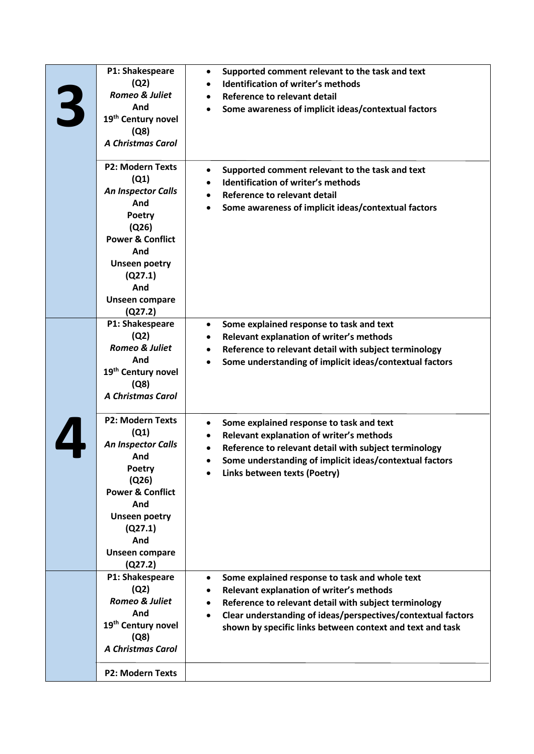| 3 | P1: Shakespeare<br>(Q2)<br>Romeo & Juliet<br>And<br>19 <sup>th</sup> Century novel<br>(Q8)<br><b>A Christmas Carol</b>                                                                                     | Supported comment relevant to the task and text<br>$\bullet$<br><b>Identification of writer's methods</b><br>$\bullet$<br><b>Reference to relevant detail</b><br>$\bullet$<br>Some awareness of implicit ideas/contextual factors                                                                          |
|---|------------------------------------------------------------------------------------------------------------------------------------------------------------------------------------------------------------|------------------------------------------------------------------------------------------------------------------------------------------------------------------------------------------------------------------------------------------------------------------------------------------------------------|
|   | <b>P2: Modern Texts</b><br>(Q1)<br>An Inspector Calls<br>And<br>Poetry<br>(Q26)<br><b>Power &amp; Conflict</b><br>And<br><b>Unseen poetry</b><br>(Q27.1)<br>And<br><b>Unseen compare</b><br>(Q27.2)        | Supported comment relevant to the task and text<br><b>Identification of writer's methods</b><br>$\bullet$<br>Reference to relevant detail<br>Some awareness of implicit ideas/contextual factors                                                                                                           |
|   | P1: Shakespeare<br>(Q2)<br><b>Romeo &amp; Juliet</b><br>And<br>19 <sup>th</sup> Century novel<br>(Q8)<br><b>A Christmas Carol</b>                                                                          | Some explained response to task and text<br>$\bullet$<br>Relevant explanation of writer's methods<br>Reference to relevant detail with subject terminology<br>٠<br>Some understanding of implicit ideas/contextual factors                                                                                 |
|   | <b>P2: Modern Texts</b><br>(Q1)<br>An Inspector Calls<br>And<br><b>Poetry</b><br>(Q26)<br><b>Power &amp; Conflict</b><br>And<br><b>Unseen poetry</b><br>(Q27.1)<br>And<br><b>Unseen compare</b><br>(Q27.2) | Some explained response to task and text<br>Relevant explanation of writer's methods<br>Reference to relevant detail with subject terminology<br>Some understanding of implicit ideas/contextual factors<br>Links between texts (Poetry)                                                                   |
|   | P1: Shakespeare<br>(Q2)<br><b>Romeo &amp; Juliet</b><br>And<br>19 <sup>th</sup> Century novel<br>(Q8)<br><b>A Christmas Carol</b>                                                                          | Some explained response to task and whole text<br>$\bullet$<br>Relevant explanation of writer's methods<br>Reference to relevant detail with subject terminology<br>$\bullet$<br>Clear understanding of ideas/perspectives/contextual factors<br>shown by specific links between context and text and task |
|   | <b>P2: Modern Texts</b>                                                                                                                                                                                    |                                                                                                                                                                                                                                                                                                            |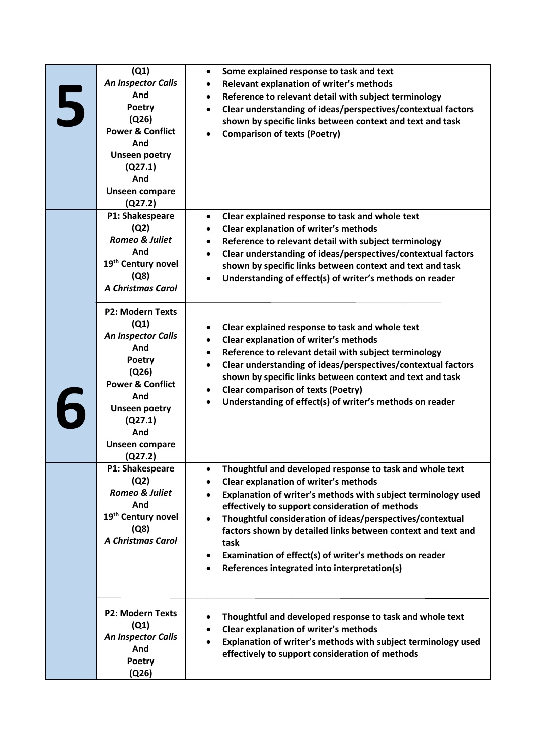| 5 | (Q1)<br><b>An Inspector Calls</b><br>And<br><b>Poetry</b><br>(Q26)<br><b>Power &amp; Conflict</b><br>And<br><b>Unseen poetry</b><br>(Q27.1)<br>And<br><b>Unseen compare</b><br>(Q27.2)                     | Some explained response to task and text<br>٠<br>Relevant explanation of writer's methods<br>٠<br>Reference to relevant detail with subject terminology<br>$\bullet$<br>Clear understanding of ideas/perspectives/contextual factors<br>$\bullet$<br>shown by specific links between context and text and task<br><b>Comparison of texts (Poetry)</b>                                                                                                                     |
|---|------------------------------------------------------------------------------------------------------------------------------------------------------------------------------------------------------------|---------------------------------------------------------------------------------------------------------------------------------------------------------------------------------------------------------------------------------------------------------------------------------------------------------------------------------------------------------------------------------------------------------------------------------------------------------------------------|
|   | P1: Shakespeare<br>(Q2)<br><b>Romeo &amp; Juliet</b><br>And<br>19 <sup>th</sup> Century novel<br>(Q8)<br><b>A Christmas Carol</b>                                                                          | Clear explained response to task and whole text<br>$\bullet$<br>Clear explanation of writer's methods<br>٠<br>Reference to relevant detail with subject terminology<br>$\bullet$<br>Clear understanding of ideas/perspectives/contextual factors<br>shown by specific links between context and text and task<br>Understanding of effect(s) of writer's methods on reader                                                                                                 |
|   | <b>P2: Modern Texts</b><br>(Q1)<br>An Inspector Calls<br>And<br><b>Poetry</b><br>(Q26)<br><b>Power &amp; Conflict</b><br>And<br><b>Unseen poetry</b><br>(Q27.1)<br>And<br><b>Unseen compare</b><br>(Q27.2) | Clear explained response to task and whole text<br>Clear explanation of writer's methods<br>Reference to relevant detail with subject terminology<br>٠<br>Clear understanding of ideas/perspectives/contextual factors<br>shown by specific links between context and text and task<br><b>Clear comparison of texts (Poetry)</b><br>Understanding of effect(s) of writer's methods on reader                                                                              |
|   | P1: Shakespeare<br>(Q2)<br><b>Romeo &amp; Juliet</b><br>And<br>19th Century novel<br>(Q8)<br><b>A Christmas Carol</b>                                                                                      | Thoughtful and developed response to task and whole text<br>Clear explanation of writer's methods<br>Explanation of writer's methods with subject terminology used<br>effectively to support consideration of methods<br>Thoughtful consideration of ideas/perspectives/contextual<br>factors shown by detailed links between context and text and<br>task<br>Examination of effect(s) of writer's methods on reader<br>٠<br>References integrated into interpretation(s) |
|   | <b>P2: Modern Texts</b><br>(Q1)<br><b>An Inspector Calls</b><br>And<br>Poetry<br>(Q26)                                                                                                                     | Thoughtful and developed response to task and whole text<br>Clear explanation of writer's methods<br>$\bullet$<br>Explanation of writer's methods with subject terminology used<br>effectively to support consideration of methods                                                                                                                                                                                                                                        |